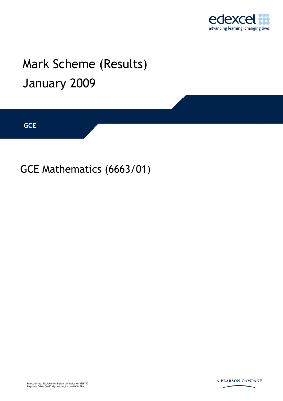

## Mark Scheme (Results) January 2009

**GCE** 

GCE Mathematics (6663/01)



A PEARSON COMPANY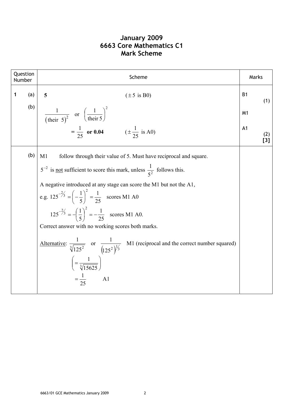## **January 2009 6663 Core Mathematics C1 Mark Scheme**

| Question<br>Number |     | Scheme                                                                                                                                                     | Marks          |            |
|--------------------|-----|------------------------------------------------------------------------------------------------------------------------------------------------------------|----------------|------------|
| $\mathbf 1$        | (a) | 5<br>$(\pm 5$ is B0)                                                                                                                                       | <b>B1</b>      | (1)        |
|                    | (b) | $rac{1}{(\text{their } 5)^2}$ or $\left(\frac{1}{\text{their } 5}\right)^2$                                                                                | M <sub>1</sub> |            |
|                    |     | $=\frac{1}{25}$ or 0.04 $(\pm \frac{1}{25} \text{ is A0})$                                                                                                 | A <sub>1</sub> | (2)<br>[3] |
|                    | (b) | M1<br>follow through their value of 5. Must have reciprocal and square.                                                                                    |                |            |
|                    |     | $5^{-2}$ is <u>not</u> sufficient to score this mark, unless $\frac{1}{5^2}$ follows this.                                                                 |                |            |
|                    |     | A negative introduced at any stage can score the M1 but not the A1,<br>e.g. $125^{-\frac{2}{3}} = \left(-\frac{1}{5}\right)^2 = \frac{1}{25}$ scores M1 A0 |                |            |
|                    |     | $125^{-\frac{2}{3}} = -\left(\frac{1}{5}\right)^2 = -\frac{1}{25}$ scores M1 A0.                                                                           |                |            |
|                    |     | Correct answer with no working scores both marks.                                                                                                          |                |            |
|                    |     | M1 (reciprocal and the correct number squared)<br>Alternative: $\frac{1}{\sqrt[3]{125^2}}$ or $\frac{1}{(125^2)^{\frac{1}{3}}}$                            |                |            |
|                    |     | $\left(=\frac{1}{\sqrt[3]{15625}}\right)$                                                                                                                  |                |            |
|                    |     | $=\frac{1}{25}$<br>A1                                                                                                                                      |                |            |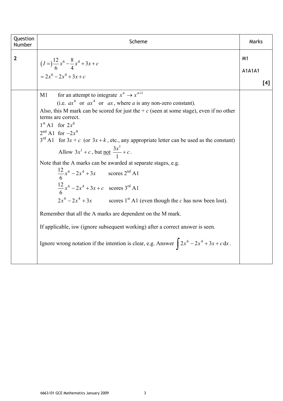| Question<br>Number | Scheme                                                                                                                                                                                                                                                                                                                                                                                                                                                                                                                                                                                                                                                                                                                                                                                                                                                                                                                                                                                                                | Marks                             |
|--------------------|-----------------------------------------------------------------------------------------------------------------------------------------------------------------------------------------------------------------------------------------------------------------------------------------------------------------------------------------------------------------------------------------------------------------------------------------------------------------------------------------------------------------------------------------------------------------------------------------------------------------------------------------------------------------------------------------------------------------------------------------------------------------------------------------------------------------------------------------------------------------------------------------------------------------------------------------------------------------------------------------------------------------------|-----------------------------------|
| $\mathbf{2}$       | $(I = \frac{12}{6}x^6 - \frac{8}{4}x^4 + 3x + c$<br>$= 2x^6 - 2x^4 + 3x + c$                                                                                                                                                                                                                                                                                                                                                                                                                                                                                                                                                                                                                                                                                                                                                                                                                                                                                                                                          | M <sub>1</sub><br>A1A1A1<br>$[4]$ |
|                    | for an attempt to integrate $x^n \rightarrow x^{n+1}$<br>M1<br>(i.e. $ax^6$ or $ax^4$ or $ax$ , where a is any non-zero constant).<br>Also, this M mark can be scored for just the + $c$ (seen at some stage), even if no other<br>terms are correct.<br>$1st$ A1 for $2x6$<br>$2^{nd}$ A1 for $-2x^4$<br>$3^{rd}$ A1 for $3x + c$ (or $3x + k$ , etc., any appropriate letter can be used as the constant)<br>Allow $3x^1 + c$ , but <u>not</u> $\frac{3x^1}{1} + c$ .<br>Note that the A marks can be awarded at separate stages, e.g.<br>$\frac{12}{6}x^6 - 2x^4 + 3x$ scores 2 <sup>nd</sup> A1<br>$\frac{12}{6}x^6 - 2x^4 + 3x + c$ scores 3 <sup>rd</sup> A1<br>$2x^6 - 2x^4 + 3x$ scores 1 <sup>st</sup> A1 (even though the <i>c</i> has now been lost).<br>Remember that all the A marks are dependent on the M mark.<br>If applicable, is w (ignore subsequent working) after a correct answer is seen.<br>Ignore wrong notation if the intention is clear, e.g. Answer $\int 2x^6 - 2x^4 + 3x + c \, dx$ . |                                   |
|                    |                                                                                                                                                                                                                                                                                                                                                                                                                                                                                                                                                                                                                                                                                                                                                                                                                                                                                                                                                                                                                       |                                   |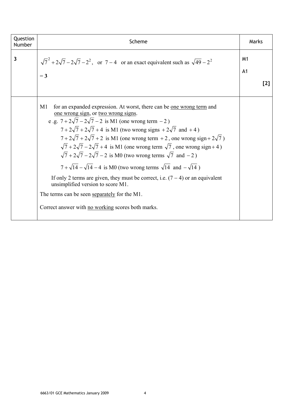| Question<br>Number | Scheme                                                                                                                                                                                                                                                                                                                                                                                                                                                                                                                                                                                                                                                                                                                                                                                                                                                                                       | Marks                                   |
|--------------------|----------------------------------------------------------------------------------------------------------------------------------------------------------------------------------------------------------------------------------------------------------------------------------------------------------------------------------------------------------------------------------------------------------------------------------------------------------------------------------------------------------------------------------------------------------------------------------------------------------------------------------------------------------------------------------------------------------------------------------------------------------------------------------------------------------------------------------------------------------------------------------------------|-----------------------------------------|
| 3                  | $\sqrt{7}^2 + 2\sqrt{7} - 2\sqrt{7} - 2^2$ , or 7 – 4 or an exact equivalent such as $\sqrt{49} - 2^2$<br>$= 3$                                                                                                                                                                                                                                                                                                                                                                                                                                                                                                                                                                                                                                                                                                                                                                              | M <sub>1</sub><br>A <sub>1</sub><br>[2] |
|                    | for an expanded expression. At worst, there can be one wrong term and<br>M1<br><u>one wrong sign</u> , or <u>two wrong signs</u> .<br>e .g. $7 + 2\sqrt{7} - 2\sqrt{7} - 2$ is M1 (one wrong term $-2$ )<br>$7 + 2\sqrt{7} + 2\sqrt{7} + 4$ is M1 (two wrong signs + $2\sqrt{7}$ and +4)<br>$7+2\sqrt{7}+2\sqrt{7}+2$ is M1 (one wrong term + 2, one wrong sign + $2\sqrt{7}$ )<br>$\sqrt{7} + 2\sqrt{7} - 2\sqrt{7} + 4$ is M1 (one wrong term $\sqrt{7}$ , one wrong sign+4)<br>$\sqrt{7} + 2\sqrt{7} - 2\sqrt{7} - 2$ is M0 (two wrong terms $\sqrt{7}$ and $-2$ )<br>$7 + \sqrt{14} - \sqrt{14} - 4$ is M0 (two wrong terms $\sqrt{14}$ and $-\sqrt{14}$ )<br>If only 2 terms are given, they must be correct, i.e. $(7 – 4)$ or an equivalent<br>unsimplified version to score M1.<br>The terms can be seen separately for the M1.<br>Correct answer with no working scores both marks. |                                         |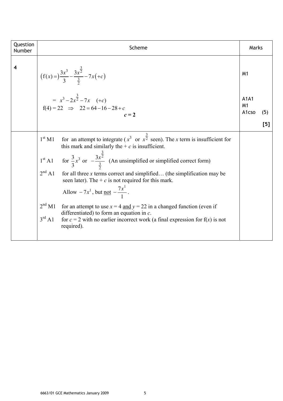| Question<br>Number | Scheme                                                                                                                                                                                                                                                                                                                                                                                                                                                                                                                                                                                                                                                                                                                                                                                 | Marks                   |     |
|--------------------|----------------------------------------------------------------------------------------------------------------------------------------------------------------------------------------------------------------------------------------------------------------------------------------------------------------------------------------------------------------------------------------------------------------------------------------------------------------------------------------------------------------------------------------------------------------------------------------------------------------------------------------------------------------------------------------------------------------------------------------------------------------------------------------|-------------------------|-----|
| $\boldsymbol{4}$   | $(f(x)) = \frac{3x^3}{3} - \frac{3x^{\frac{3}{2}}}{\frac{3}{2}} - 7x(+c)$<br>= $x^3-2x^{\frac{3}{2}}-7x$ (+c)                                                                                                                                                                                                                                                                                                                                                                                                                                                                                                                                                                                                                                                                          | M <sub>1</sub><br>A1A1  |     |
|                    | $f(4) = 22 \implies 22 = 64 - 16 - 28 + c$<br>$c=2$                                                                                                                                                                                                                                                                                                                                                                                                                                                                                                                                                                                                                                                                                                                                    | M <sub>1</sub><br>A1cso | (5) |
|                    |                                                                                                                                                                                                                                                                                                                                                                                                                                                                                                                                                                                                                                                                                                                                                                                        |                         | [5] |
|                    | for an attempt to integrate ( $x^3$ or $x^{\frac{3}{2}}$ seen). The x term is insufficient for<br>$1^{\rm st}$ M1<br>this mark and similarly the $+ c$ is insufficient.<br>1 <sup>st</sup> A1 for $\frac{3}{3}x^3$ or $-\frac{3x^{\frac{3}{2}}}{\frac{3}{2}}$ (An unsimplified or simplified correct form)<br>$2nd$ A1 for all three x terms correct and simplified (the simplification may be<br>seen later). The + $c$ is not required for this mark.<br>Allow $-7x^1$ , but <u>not</u> $-\frac{7x^1}{1}$ .<br>2 <sup>nd</sup> M1<br>for an attempt to use $x = 4$ and $y = 22$ in a changed function (even if<br>differentiated) to form an equation in $c$ .<br>$3^{\text{rd}}$ A1<br>for $c = 2$ with no earlier incorrect work (a final expression for f(x) is not<br>required). |                         |     |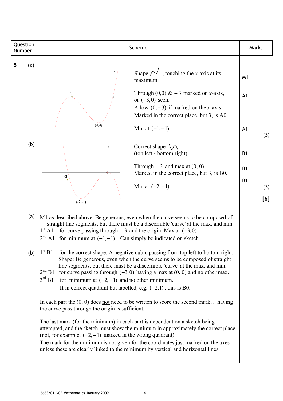| Question<br>Number | Scheme                                                                                                                                                                                                                                                                                                                                                                                                                                                                                                                                                                                                                                                                                                                                                                                                                                                                                                                                                                                                                                                    | Marks                                                    |
|--------------------|-----------------------------------------------------------------------------------------------------------------------------------------------------------------------------------------------------------------------------------------------------------------------------------------------------------------------------------------------------------------------------------------------------------------------------------------------------------------------------------------------------------------------------------------------------------------------------------------------------------------------------------------------------------------------------------------------------------------------------------------------------------------------------------------------------------------------------------------------------------------------------------------------------------------------------------------------------------------------------------------------------------------------------------------------------------|----------------------------------------------------------|
| 5<br>(a)           | Shape $\sim$ , touching the x-axis at its<br>maximum.<br>Through $(0,0)$ & $-3$ marked on x-axis,<br>-3<br>or $(-3,0)$ seen.<br>Allow $(0, -3)$ if marked on the <i>x</i> -axis.<br>Marked in the correct place, but 3, is A0.<br>$(-1,-1)$<br>Min at $(-1,-1)$                                                                                                                                                                                                                                                                                                                                                                                                                                                                                                                                                                                                                                                                                                                                                                                           | M <sub>1</sub><br>A <sub>1</sub><br>A <sub>1</sub>       |
| (b)                | Correct shape $\setminus \wedge$<br>(top left - bottom right)<br>Through $-3$ and max at $(0, 0)$ .<br>Marked in the correct place, but 3, is B0.<br>-3<br>Min at $(-2,-1)$<br>$(-2,-1)$                                                                                                                                                                                                                                                                                                                                                                                                                                                                                                                                                                                                                                                                                                                                                                                                                                                                  | (3)<br><b>B1</b><br><b>B1</b><br><b>B1</b><br>(3)<br>[6] |
| (a)                | M1 as described above. Be generous, even when the curve seems to be composed of<br>straight line segments, but there must be a discernible 'curve' at the max. and min.<br>$1^{\rm st}$ A1<br>for curve passing through $-3$ and the origin. Max at $(-3,0)$<br>$2^{nd}$ A1 for minimum at $(-1,-1)$ . Can simply be indicated on sketch.                                                                                                                                                                                                                                                                                                                                                                                                                                                                                                                                                                                                                                                                                                                 |                                                          |
|                    | (b) $1^{st}$ B1 for the correct shape. A negative cubic passing from top left to bottom right.<br>Shape: Be generous, even when the curve seems to be composed of straight<br>line segments, but there must be a discernible 'curve' at the max. and min.<br>$2nd B1$ for curve passing through (-3,0) having a max at (0, 0) and no other max.<br>$3^{\text{rd}}$ B1<br>for minimum at $(-2, -1)$ and no other minimum.<br>If in correct quadrant but labelled, e.g. $(-2,1)$ , this is B0.<br>In each part the $(0, 0)$ does not need to be written to score the second mark having<br>the curve pass through the origin is sufficient.<br>The last mark (for the minimum) in each part is dependent on a sketch being<br>attempted, and the sketch must show the minimum in approximately the correct place<br>(not, for example, $(-2, -1)$ ) marked in the wrong quadrant).<br>The mark for the minimum is not given for the coordinates just marked on the axes<br>unless these are clearly linked to the minimum by vertical and horizontal lines. |                                                          |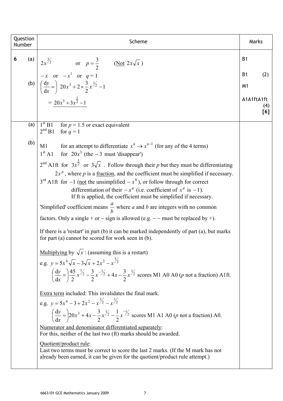| Question<br>Number | Scheme                                                                                                                                                                                                                                                                                                                                                                                                                                                                                                                                                                                                                                                                                                                                                                                                                                                                                                                                                                                                                                                                                                                                                                                                                           | Marks                              |
|--------------------|----------------------------------------------------------------------------------------------------------------------------------------------------------------------------------------------------------------------------------------------------------------------------------------------------------------------------------------------------------------------------------------------------------------------------------------------------------------------------------------------------------------------------------------------------------------------------------------------------------------------------------------------------------------------------------------------------------------------------------------------------------------------------------------------------------------------------------------------------------------------------------------------------------------------------------------------------------------------------------------------------------------------------------------------------------------------------------------------------------------------------------------------------------------------------------------------------------------------------------|------------------------------------|
| 6                  |                                                                                                                                                                                                                                                                                                                                                                                                                                                                                                                                                                                                                                                                                                                                                                                                                                                                                                                                                                                                                                                                                                                                                                                                                                  | <b>B1</b>                          |
|                    | (a) $2x^{\frac{3}{2}}$ or $p = \frac{3}{2}$ (Not $2x\sqrt{x}$ )<br>$\begin{pmatrix} -x & or & -x^1 & or & q = 1 \\ \frac{dy}{dx} = \frac{3}{2} & 20x^3 + 2 \times \frac{3}{2}x^{\frac{1}{2}} - 1 \\ = \frac{20x^3 + 3x^{\frac{1}{2}} - 1}{2x^{\frac{3}{2}} - 1} \end{pmatrix}$                                                                                                                                                                                                                                                                                                                                                                                                                                                                                                                                                                                                                                                                                                                                                                                                                                                                                                                                                   | <b>B1</b><br>(2)<br>M <sub>1</sub> |
|                    |                                                                                                                                                                                                                                                                                                                                                                                                                                                                                                                                                                                                                                                                                                                                                                                                                                                                                                                                                                                                                                                                                                                                                                                                                                  | A1A1ftA1ft<br>(4)<br>[6]           |
| (a)                | $1st B1$ for $p = 1.5$ or exact equivalent<br>$2^{nd} B1$ for $q = 1$                                                                                                                                                                                                                                                                                                                                                                                                                                                                                                                                                                                                                                                                                                                                                                                                                                                                                                                                                                                                                                                                                                                                                            |                                    |
| (b)                | M1 for an attempt to differentiate $x^n \to x^{n-1}$ (for any of the 4 terms)<br>$1st$ A1 for $20x3$ (the -3 must 'disappear')<br>$2^{nd}$ A1ft for $3x^{\frac{1}{2}}$ or $3\sqrt{x}$ . Follow through their p but they must be differentiating<br>$2x^p$ , where p is a fraction, and the coefficient must be simplified if necessary.<br>$3^{rd}$ A1ft for $-1$ (not the unsimplified $-x^0$ ), or follow through for correct<br>differentiation of their $-x^q$ (i.e. coefficient of $x^q$ is -1).<br>If ft is applied, the coefficient must be simplified if necessary.<br>'Simplified' coefficient means $\frac{a}{b}$ where a and b are integers with no common<br>factors. Only a single + or – sign is allowed (e.g. – – must be replaced by +).<br>If there is a 'restart' in part $(b)$ it can be marked independently of part $(a)$ , but marks<br>for part (a) cannot be scored for work seen in (b).<br><u>Multiplying</u> by $\sqrt{x}$ : (assuming this is a restart)<br>e.g. $y = 5x^4 \sqrt{x} - 3\sqrt{x} + 2x^2 - x^{3/2}$<br>$\left(\frac{dy}{dx} = \right) \frac{45}{2} x^{\frac{7}{2}} - \frac{3}{2} x^{-\frac{1}{2}} + 4x - \frac{3}{2} x^{\frac{1}{2}}$ scores M1 A0 A0 ( <i>p</i> not a fraction) A1ft. |                                    |
|                    | Extra term included: This invalidates the final mark.<br>e.g. $y = 5x^4 - 3 + 2x^2 - x^{3/2} - x^{1/2}$<br>$\left(\frac{dy}{dx} = 20x^3 + 4x - \frac{3}{2}x^{\frac{1}{2}} - \frac{1}{2}x^{-\frac{1}{2}}$ scores M1 A1 A0 ( <i>p</i> not a fraction) A0.<br>Numerator and denominator differentiated separately:<br>For this, neither of the last two (ft) marks should be awarded.<br>Quotient/product rule:<br>Last two terms must be correct to score the last 2 marks. (If the M mark has not<br>already been earned, it can be given for the quotient/product rule attempt.)                                                                                                                                                                                                                                                                                                                                                                                                                                                                                                                                                                                                                                                 |                                    |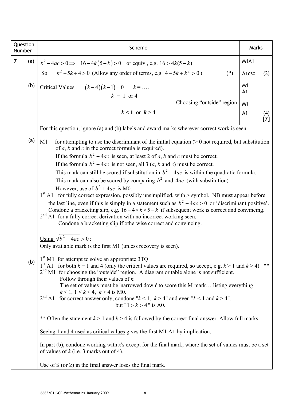|                | Question<br>Scheme<br>Number |                                                                                                                                                                                                                                                         | Marks                            |            |
|----------------|------------------------------|---------------------------------------------------------------------------------------------------------------------------------------------------------------------------------------------------------------------------------------------------------|----------------------------------|------------|
| $\overline{7}$ | (a)                          | $b^2-4ac > 0 \Rightarrow 16-4k(5-k) > 0$ or equiv., e.g. $16 > 4k(5-k)$                                                                                                                                                                                 | <b>M1A1</b>                      |            |
|                |                              | So $k^2 - 5k + 4 > 0$ (Allow any order of terms, e.g. $4 - 5k + k^2 > 0$ )<br>$(*)$                                                                                                                                                                     | A1cso                            | (3)        |
|                | (b)                          | Critical Values $(k-4)(k-1) = 0$ $k = $<br>$k = 1$ or 4                                                                                                                                                                                                 | M <sub>1</sub><br>A <sub>1</sub> |            |
|                |                              | Choosing "outside" region                                                                                                                                                                                                                               | M <sub>1</sub>                   |            |
|                |                              | $k < 1$ or $k > 4$                                                                                                                                                                                                                                      | A <sub>1</sub>                   | (4)<br>[7] |
|                |                              | For this question, ignore (a) and (b) labels and award marks wherever correct work is seen.                                                                                                                                                             |                                  |            |
|                | (a)                          | M1<br>for attempting to use the discriminant of the initial equation $(0)$ not required, but substitution<br>of $a$ , $b$ and $c$ in the correct formula is required).<br>If the formula $b^2 - 4ac$ is seen, at least 2 of a, b and c must be correct. |                                  |            |
|                |                              | If the formula $b^2 - 4ac$ is <u>not</u> seen, all 3 ( <i>a</i> , <i>b</i> and <i>c</i> ) must be correct.                                                                                                                                              |                                  |            |
|                |                              | This mark can still be scored if substitution in $b^2 - 4ac$ is within the quadratic formula.                                                                                                                                                           |                                  |            |
|                |                              | This mark can also be scored by comparing $b^2$ and 4 <i>ac</i> (with substitution).                                                                                                                                                                    |                                  |            |
|                |                              | However, use of $b^2 + 4ac$ is M0.                                                                                                                                                                                                                      |                                  |            |
|                |                              | $1st$ A1 for fully correct expression, possibly unsimplified, with > symbol. NB must appear before<br>the last line, even if this is simply in a statement such as $b^2 - 4ac > 0$ or 'discriminant positive'.                                          |                                  |            |
|                |                              | Condone a bracketing slip, e.g. $16-4 \times k \times 5-k$ if subsequent work is correct and convincing.<br>$2nd$ A1 for a fully correct derivation with no incorrect working seen.<br>Condone a bracketing slip if otherwise correct and convincing.   |                                  |            |
|                |                              | <u>Using</u> $\sqrt{b^2-4ac} > 0$ :                                                                                                                                                                                                                     |                                  |            |
|                |                              | Only available mark is the first M1 (unless recovery is seen).                                                                                                                                                                                          |                                  |            |
|                | (b)                          | 1 <sup>st</sup> M1 for attempt to solve an appropriate 3TQ<br>1 <sup>st</sup> A1 for both $k = 1$ and 4 (only the critical values are required, so accept, e.g. $k > 1$ and $k > 4$ ). **                                                               |                                  |            |
|                |                              | $2nd$ M1 for choosing the "outside" region. A diagram or table alone is not sufficient.<br>Follow through their values of $k$ .                                                                                                                         |                                  |            |
|                |                              | The set of values must be 'narrowed down' to score this M mark listing everything<br>$k < 1, 1 < k < 4, k > 4$ is M0.                                                                                                                                   |                                  |            |
|                |                              | $2nd$ A1 for correct answer only, condone " $k < 1$ , $k > 4$ " and even " $k < 1$ and $k > 4$ ",<br>but " $1 > k > 4$ " is A0.                                                                                                                         |                                  |            |
|                |                              | ** Often the statement $k > 1$ and $k > 4$ is followed by the correct final answer. Allow full marks.                                                                                                                                                   |                                  |            |
|                |                              | Seeing 1 and 4 used as critical values gives the first M1 A1 by implication.                                                                                                                                                                            |                                  |            |
|                |                              | In part (b), condone working with $x$ 's except for the final mark, where the set of values must be a set<br>of values of $k$ (i.e. 3 marks out of 4).                                                                                                  |                                  |            |
|                |                              | Use of $\leq$ (or $\geq$ ) in the final answer loses the final mark.                                                                                                                                                                                    |                                  |            |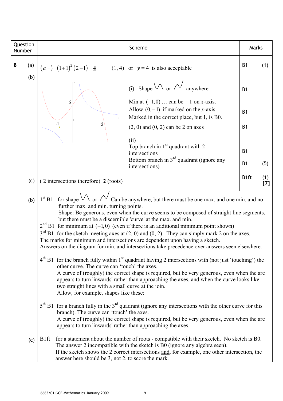| Question<br>Number |     | Scheme                                                                                                                                                                                                                                                                                                                                                                                                                                                                                                                                                                                                                                                                                        | Marks     |            |
|--------------------|-----|-----------------------------------------------------------------------------------------------------------------------------------------------------------------------------------------------------------------------------------------------------------------------------------------------------------------------------------------------------------------------------------------------------------------------------------------------------------------------------------------------------------------------------------------------------------------------------------------------------------------------------------------------------------------------------------------------|-----------|------------|
| 8                  | (a) | $(a=)$ $(1+1)^2(2-1)=1$ $(1, 4)$ or $y=4$ is also acceptable                                                                                                                                                                                                                                                                                                                                                                                                                                                                                                                                                                                                                                  | <b>B1</b> | (1)        |
|                    | (b) | (i) Shape $\vee$ or $\vee$ anywhere                                                                                                                                                                                                                                                                                                                                                                                                                                                                                                                                                                                                                                                           | <b>B1</b> |            |
|                    |     | Min at $(-1,0)$ can be $-1$ on x-axis.<br>$\overline{2}$<br>Allow $(0,-1)$ if marked on the <i>x</i> -axis.<br>Marked in the correct place, but 1, is B0.                                                                                                                                                                                                                                                                                                                                                                                                                                                                                                                                     | <b>B1</b> |            |
|                    |     | $-1$<br>2<br>$(2, 0)$ and $(0, 2)$ can be 2 on axes                                                                                                                                                                                                                                                                                                                                                                                                                                                                                                                                                                                                                                           | <b>B1</b> |            |
|                    |     | (ii)<br>Top branch in $1st$ quadrant with 2<br>intersections                                                                                                                                                                                                                                                                                                                                                                                                                                                                                                                                                                                                                                  | <b>B1</b> |            |
|                    |     | Bottom branch in $3rd$ quadrant (ignore any<br>intersections)                                                                                                                                                                                                                                                                                                                                                                                                                                                                                                                                                                                                                                 | <b>B1</b> | (5)        |
|                    | (c) | $(2$ intersections therefore) $2$ (roots)                                                                                                                                                                                                                                                                                                                                                                                                                                                                                                                                                                                                                                                     | B1ft      | (1)<br>[7] |
|                    | (b) | 1 <sup>st</sup> B1 for shape $\vee$ or $\wedge$ Can be anywhere, but there must be one max. and one min. and no<br>further max. and min. turning points.<br>Shape: Be generous, even when the curve seems to be composed of straight line segments,<br>but there must be a discernible 'curve' at the max. and min.<br>$2nd$ B1 for minimum at (-1,0) (even if there is an additional minimum point shown)<br>$3rd$ B1 for the sketch meeting axes at (2, 0) and (0, 2). They can simply mark 2 on the axes.<br>The marks for minimum and intersections are dependent upon having a sketch.<br>Answers on the diagram for min. and intersections take precedence over answers seen elsewhere. |           |            |
|                    |     | $4th$ B1 for the branch fully within 1 <sup>st</sup> quadrant having 2 intersections with (not just 'touching') the<br>other curve. The curve can 'touch' the axes.<br>A curve of (roughly) the correct shape is required, but be very generous, even when the arc<br>appears to turn 'inwards' rather than approaching the axes, and when the curve looks like<br>two straight lines with a small curve at the join.<br>Allow, for example, shapes like these:                                                                                                                                                                                                                               |           |            |
|                    |     | $5th$ B1 for a branch fully in the $3rd$ quadrant (ignore any intersections with the other curve for this<br>branch). The curve can 'touch' the axes.<br>A curve of (roughly) the correct shape is required, but be very generous, even when the arc<br>appears to turn 'inwards' rather than approaching the axes.                                                                                                                                                                                                                                                                                                                                                                           |           |            |
|                    | (c) | for a statement about the number of roots - compatible with their sketch. No sketch is B0.<br>B1ft<br>The answer 2 incompatible with the sketch is B0 (ignore any algebra seen).<br>If the sketch shows the 2 correct intersections and, for example, one other intersection, the<br>answer here should be 3, not 2, to score the mark.                                                                                                                                                                                                                                                                                                                                                       |           |            |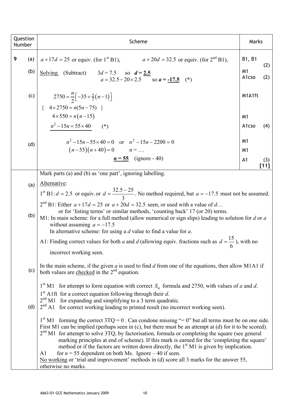| Question<br>Number | Scheme                                                                                                                                                                                                                                                                                                                                                                                                                                                                                                                                                                                                                                                                                                 | Marks                                              |            |
|--------------------|--------------------------------------------------------------------------------------------------------------------------------------------------------------------------------------------------------------------------------------------------------------------------------------------------------------------------------------------------------------------------------------------------------------------------------------------------------------------------------------------------------------------------------------------------------------------------------------------------------------------------------------------------------------------------------------------------------|----------------------------------------------------|------------|
| 9<br>(a)<br>(b)    | $a + 17d = 25$ or equiv. (for 1 <sup>st</sup> B1), $a + 20d = 32.5$ or equiv. (for 2 <sup>nd</sup> B1),<br>Solving (Subtract) $3d = 7.5$ so $d = 2.5$<br>$a = 32.5 - 20 \times 2.5$ so $a = -17.5$ (*)                                                                                                                                                                                                                                                                                                                                                                                                                                                                                                 | B1, B1<br>M <sub>1</sub><br>A1cso                  | (2)<br>(2) |
| (c)                | $2750 = \frac{n}{2} \left[-35 + \frac{5}{2}(n-1)\right]$<br>{ $4 \times 2750 = n(5n - 75)$ }                                                                                                                                                                                                                                                                                                                                                                                                                                                                                                                                                                                                           | M1A1ft                                             |            |
|                    | $4 \times 550 = n(n-15)$<br>$n^2 - 15n = 55 \times 40$ (*)                                                                                                                                                                                                                                                                                                                                                                                                                                                                                                                                                                                                                                             | M <sub>1</sub><br>A1cso                            | (4)        |
| (d)                | $n^2 - 15n - 55 \times 40 = 0$ or $n^2 - 15n - 2200 = 0$<br>$(n-55)(n+40) = 0$ $n = $<br>$n = 55$ (ignore - 40)                                                                                                                                                                                                                                                                                                                                                                                                                                                                                                                                                                                        | M <sub>1</sub><br>M <sub>1</sub><br>A <sub>1</sub> | (3)        |
| (a)                | $[11]$<br>Mark parts (a) and (b) as 'one part', ignoring labelling.<br>Alternative:<br>$1^{st}$ B1: $d = 2.5$ or equiv. or $d = \frac{32.5 - 25}{3}$ . No method required, but $a = -17.5$ must not be assumed.                                                                                                                                                                                                                                                                                                                                                                                                                                                                                        |                                                    |            |
| (b)                | $2nd$ B1: Either $a + 17d = 25$ or $a + 20d = 32.5$ seen, or used with a value of d<br>or for 'listing terms' or similar methods, 'counting back' 17 (or 20) terms.<br>M1: In main scheme: for a full method (allow numerical or sign slips) leading to solution for $d$ or $a$<br>without assuming $a = -17.5$<br>In alternative scheme: for using a $d$ value to find a value for $a$ .                                                                                                                                                                                                                                                                                                              |                                                    |            |
|                    | A1: Finding correct values for both a and d (allowing equiv. fractions such as $d = \frac{15}{6}$ ), with no<br>incorrect working seen.                                                                                                                                                                                                                                                                                                                                                                                                                                                                                                                                                                |                                                    |            |
| (c)                | In the main scheme, if the given $a$ is used to find $d$ from one of the equations, then allow M1A1 if<br>both values are checked in the $2nd$ equation.                                                                                                                                                                                                                                                                                                                                                                                                                                                                                                                                               |                                                    |            |
| (d)                | $1st$ M1 for attempt to form equation with correct $S_n$ formula and 2750, with values of a and d.<br>$1st$ A1ft for a correct equation following through their d.<br>$2nd$ M1 for expanding and simplifying to a 3 term quadratic.<br>$2nd$ A1 for correct working leading to printed result (no incorrect working seen).                                                                                                                                                                                                                                                                                                                                                                             |                                                    |            |
|                    | $1st$ M1 forming the correct 3TQ = 0. Can condone missing "= 0" but all terms must be on one side.<br>First M1 can be implied (perhaps seen in (c), but there must be an attempt at (d) for it to be scored).<br>$2nd$ M1 for attempt to solve 3TQ, by factorisation, formula or completing the square (see general<br>marking principles at end of scheme). If this mark is earned for the 'completing the square'<br>method or if the factors are written down directly, the $1st M1$ is given by implication.<br>for $n = 55$ dependent on both Ms. Ignore $-40$ if seen.<br>A1<br>No working or 'trial and improvement' methods in (d) score all 3 marks for the answer 55,<br>otherwise no marks. |                                                    |            |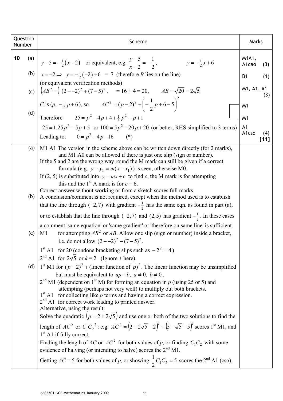| Question<br>Number | Scheme                                                                                                                                                                                                                                                                                                                                                                                                                                                                                                                                                                                                                                                                                                                                                                                                                                                                                                                                                                                                                                                       | Marks                      |
|--------------------|--------------------------------------------------------------------------------------------------------------------------------------------------------------------------------------------------------------------------------------------------------------------------------------------------------------------------------------------------------------------------------------------------------------------------------------------------------------------------------------------------------------------------------------------------------------------------------------------------------------------------------------------------------------------------------------------------------------------------------------------------------------------------------------------------------------------------------------------------------------------------------------------------------------------------------------------------------------------------------------------------------------------------------------------------------------|----------------------------|
| 10                 | (a) $y-5=-\frac{1}{2}(x-2)$ or equivalent, e.g. $\frac{y-5}{x-2}=-\frac{1}{2}$ ,<br>(b) $x=-2 \implies y=-\frac{1}{2}(-2)+6 = 7$ (therefore <i>B</i> lies on the line)<br>$y = -\frac{1}{2}x + 6$                                                                                                                                                                                                                                                                                                                                                                                                                                                                                                                                                                                                                                                                                                                                                                                                                                                            | M1A1,<br>A1cao<br>(3)      |
|                    |                                                                                                                                                                                                                                                                                                                                                                                                                                                                                                                                                                                                                                                                                                                                                                                                                                                                                                                                                                                                                                                              | <b>B1</b><br>(1)           |
|                    | (or equivalent verification methods)<br>(c) $\left(AB^{2} = \right) (2 - (-2)^{2} + (7 - 5)^{2}) = 16 + 4 = 20, \qquad AB = \sqrt{20} = 2\sqrt{5}$                                                                                                                                                                                                                                                                                                                                                                                                                                                                                                                                                                                                                                                                                                                                                                                                                                                                                                           | M1, A1, A1<br>(3)          |
| (d)                | C is $(p, -\frac{1}{2}p+6)$ , so $AC^2 = (p-2)^2 + \left(-\frac{1}{2}p+6-5\right)^2$                                                                                                                                                                                                                                                                                                                                                                                                                                                                                                                                                                                                                                                                                                                                                                                                                                                                                                                                                                         | M <sub>1</sub>             |
|                    | Therefore $25 = p^2 - 4p + 4 + \frac{1}{4}p^2 - p + 1$                                                                                                                                                                                                                                                                                                                                                                                                                                                                                                                                                                                                                                                                                                                                                                                                                                                                                                                                                                                                       | M <sub>1</sub>             |
|                    | $25 = 1.25p^{2} - 5p + 5$ or $100 = 5p^{2} - 20p + 20$ (or better, RHS simplified to 3 terms)<br>Leading to: $0 = p^2 - 4p - 16$ (*)                                                                                                                                                                                                                                                                                                                                                                                                                                                                                                                                                                                                                                                                                                                                                                                                                                                                                                                         | A1<br>A1cso<br>(4)<br>[11] |
| (a)<br>(b)         | M1 A1 The version in the scheme above can be written down directly (for 2 marks),<br>and M1 A0 can be allowed if there is just one slip (sign or number).<br>If the 5 and 2 are the wrong way round the M mark can still be given if a correct<br>formula (e.g. $y - y_1 = m(x - x_1)$ ) is seen, otherwise M0.<br>If (2, 5) is substituted into $y = mx + c$ to find c, the M mark is for attempting<br>this and the 1 <sup>st</sup> A mark is for $c = 6$ .<br>Correct answer without working or from a sketch scores full marks.<br>A conclusion/comment is not required, except when the method used is to establish<br>that the line through $(-2, 7)$ with gradient $-\frac{1}{2}$ has the same eqn. as found in part (a),                                                                                                                                                                                                                                                                                                                             |                            |
| (c)                | or to establish that the line through $(-2,7)$ and $(2,5)$ has gradient $-\frac{1}{2}$ . In these cases<br>a comment 'same equation' or 'same gradient' or 'therefore on same line' is sufficient.<br>for attempting $AB^2$ or $AB$ . Allow one slip (sign or number) inside a bracket,<br>M1                                                                                                                                                                                                                                                                                                                                                                                                                                                                                                                                                                                                                                                                                                                                                                |                            |
|                    | i.e. do <u>not</u> allow $(2 - -2)^2 - (7 - 5)^2$ .<br>$1st$ A1 for 20 (condone bracketing slips such as $-22 = 4$ )<br>$2nd$ A1 for $2\sqrt{5}$ or $k = 2$ (Ignore $\pm$ here).                                                                                                                                                                                                                                                                                                                                                                                                                                                                                                                                                                                                                                                                                                                                                                                                                                                                             |                            |
| (d)                | $1st$ M1 for $(p-2)2$ + (linear function of p) <sup>2</sup> . The linear function may be unsimplified<br>but must be equivalent to $ap + b$ , $a \ne 0$ , $b \ne 0$ .<br>$2nd$ M1 (dependent on 1 <sup>st</sup> M) for forming an equation in p (using 25 or 5) and<br>attempting (perhaps not very well) to multiply out both brackets.<br>$1st$ A1 for collecting like p terms and having a correct expression.<br>$2nd$ A1 for correct work leading to printed answer.<br>Alternative, using the result:<br>Solve the quadratic $(p = 2 \pm 2\sqrt{5})$ and use one or both of the two solutions to find the<br>length of $AC^2$ or $C_1C_2^2$ : e.g. $AC^2 = (2 + 2\sqrt{5} - 2)^2 + (5 - \sqrt{5} - 5)^2$ scores 1 <sup>st</sup> M1, and<br>$1st$ A1 if fully correct.<br>Finding the length of AC or $AC^2$ for both values of p, or finding $C_1C_2$ with some<br>evidence of halving (or intending to halve) scores the $2nd M1$ .<br>Getting $AC = 5$ for both values of p, or showing $\frac{1}{2}C_1C_2 = 5$ scores the 2 <sup>nd</sup> A1 (cso). |                            |